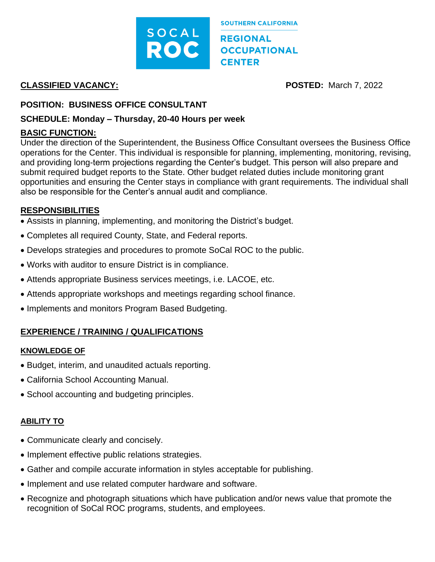

# **CLASSIFIED VACANCY: POSTED:** March 7, 2022

## **POSITION: BUSINESS OFFICE CONSULTANT**

### **SCHEDULE: Monday – Thursday, 20-40 Hours per week**

## **BASIC FUNCTION:**

Under the direction of the Superintendent, the Business Office Consultant oversees the Business Office operations for the Center. This individual is responsible for planning, implementing, monitoring, revising, and providing long-term projections regarding the Center's budget. This person will also prepare and submit required budget reports to the State. Other budget related duties include monitoring grant opportunities and ensuring the Center stays in compliance with grant requirements. The individual shall also be responsible for the Center's annual audit and compliance.

### **RESPONSIBILITIES**

- Assists in planning, implementing, and monitoring the District's budget.
- Completes all required County, State, and Federal reports.
- Develops strategies and procedures to promote SoCal ROC to the public.
- Works with auditor to ensure District is in compliance.
- Attends appropriate Business services meetings, i.e. LACOE, etc.
- Attends appropriate workshops and meetings regarding school finance.
- Implements and monitors Program Based Budgeting.

# **EXPERIENCE / TRAINING / QUALIFICATIONS**

### **KNOWLEDGE OF**

- Budget, interim, and unaudited actuals reporting.
- California School Accounting Manual.
- School accounting and budgeting principles.

## **ABILITY TO**

- Communicate clearly and concisely.
- Implement effective public relations strategies.
- Gather and compile accurate information in styles acceptable for publishing.
- Implement and use related computer hardware and software.
- Recognize and photograph situations which have publication and/or news value that promote the recognition of SoCal ROC programs, students, and employees.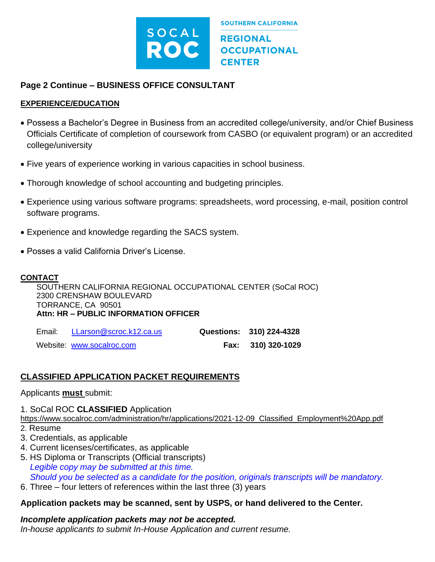

## **Page 2 Continue – BUSINESS OFFICE CONSULTANT**

#### **EXPERIENCE/EDUCATION**

- Possess a Bachelor's Degree in Business from an accredited college/university, and/or Chief Business Officials Certificate of completion of coursework from CASBO (or equivalent program) or an accredited college/university
- Five years of experience working in various capacities in school business.
- Thorough knowledge of school accounting and budgeting principles.
- Experience using various software programs: spreadsheets, word processing, e-mail, position control software programs.
- Experience and knowledge regarding the SACS system.
- Posses a valid California Driver's License.

#### **CONTACT**

SOUTHERN CALIFORNIA REGIONAL OCCUPATIONAL CENTER (SoCal ROC) 2300 CRENSHAW BOULEVARD TORRANCE, CA 90501 **Attn: HR – PUBLIC INFORMATION OFFICER**

| Email: | LLarson@scroc.k12.ca.us   | Questions: 310) 224-4328 |
|--------|---------------------------|--------------------------|
|        | Website: www.socalroc.com | Fax: 310) 320-1029       |

## **CLASSIFIED APPLICATION PACKET REQUIREMENTS**

### Applicants **must** submit:

1. SoCal ROC **CLASSIFIED** Application

https://www.socalroc.com/administration/hr/applications/2021-12-09 Classified Employment%20App.pdf

- 2. Resume
- 3. Credentials, as applicable
- 4. Current licenses/certificates, as applicable
- 5. HS Diploma or Transcripts (Official transcripts)  *Legible copy may be submitted at this time. Should you be selected as a candidate for the position, originals transcripts will be mandatory.*
- 6. Three four letters of references within the last three (3) years

### **Application packets may be scanned, sent by USPS, or hand delivered to the Center.**

# *Incomplete application packets may not be accepted.*

*In-house applicants to submit In-House Application and current resume.*